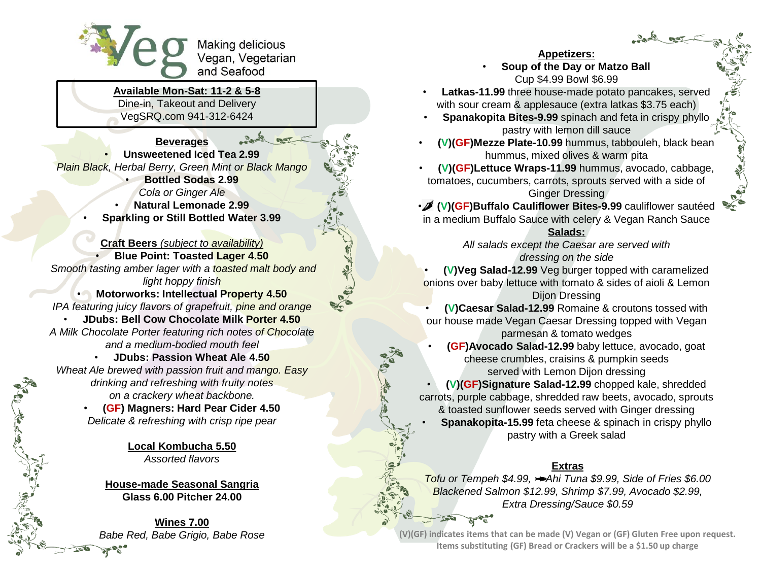

**Available Mon-Sat: 11-2 & 5-8** Dine-in, Takeout and Delivery

VegSRQ.com 941-312-6424

**Beverages** • **Unsweetened Iced Tea 2.99** *Plain Black, Herbal Berry, Green Mint or Black Mango* • **Bottled Sodas 2.99** *Cola or Ginger Ale* • **Natural Lemonade 2.99** • **Sparkling or Still Bottled Water 3.99**

**Craft Beers** *(subject to availability)* • **Blue Point: Toasted Lager 4.50** *Smooth tasting amber lager with a toasted malt body and light hoppy finish* • **Motorworks: Intellectual Property 4.50**

*IPA featuring juicy flavors of grapefruit, pine and orange*

• **JDubs: Bell Cow Chocolate Milk Porter 4.50** *A Milk Chocolate Porter featuring rich notes of Chocolate and a medium-bodied mouth feel*

• **JDubs: Passion Wheat Ale 4.50**

*Wheat Ale brewed with passion fruit and mango. Easy drinking and refreshing with fruity notes on a crackery wheat backbone.*

• **(GF) Magners: Hard Pear Cider 4.50** *Delicate & refreshing with crisp ripe pear*

> **Local Kombucha 5.50** *Assorted flavors*

**House-made Seasonal Sangria Glass 6.00 Pitcher 24.00**

**Wines 7.00** *Babe Red, Babe Grigio, Babe Rose* **Appetizers:**

• **Soup of the Day or Matzo Ball** Cup \$4.99 Bowl \$6.99

- **Latkas-11.99** three house-made potato pancakes, served with sour cream & applesauce (extra latkas \$3.75 each)
- **Spanakopita Bites-9.99** spinach and feta in crispy phyllo pastry with lemon dill sauce
- **(V)(GF)Mezze Plate-10.99** hummus, tabbouleh, black bean hummus, mixed olives & warm pita
- **(V)(GF)Lettuce Wraps-11.99** hummus, avocado, cabbage, tomatoes, cucumbers, carrots, sprouts served with a side of Ginger Dressing

• **(V)(GF)Buffalo Cauliflower Bites-9.99** cauliflower sautéed

in a medium Buffalo Sauce with celery & Vegan Ranch Sauce

#### **Salads:**

*All salads except the Caesar are served with dressing on the side*

• **(V)Veg Salad-12.99** Veg burger topped with caramelized onions over baby lettuce with tomato & sides of aioli & Lemon Dijon Dressing

• **(V)Caesar Salad-12.99** Romaine & croutons tossed with our house made Vegan Caesar Dressing topped with Vegan parmesan & tomato wedges

• **(GF)Avocado Salad-12.99** baby lettuce, avocado, goat cheese crumbles, craisins & pumpkin seeds served with Lemon Dijon dressing

• **(V)(GF)Signature Salad-12.99** chopped kale, shredded carrots, purple cabbage, shredded raw beets, avocado, sprouts & toasted sunflower seeds served with Ginger dressing

• **Spanakopita-15.99** feta cheese & spinach in crispy phyllo pastry with a Greek salad

# **Extras**

**Tofu or Tempeh \$4.99, → Ahi Tuna \$9.99, Side of Fries \$6.00** *Blackened Salmon \$12.99, Shrimp \$7.99, Avocado \$2.99, Extra Dressing/Sauce \$0.59*

**(V)(GF) indicates items that can be made (V) Vegan or (GF) Gluten Free upon request. Items substituting (GF) Bread or Crackers will be a \$1.50 up charge**

**ENGINE**